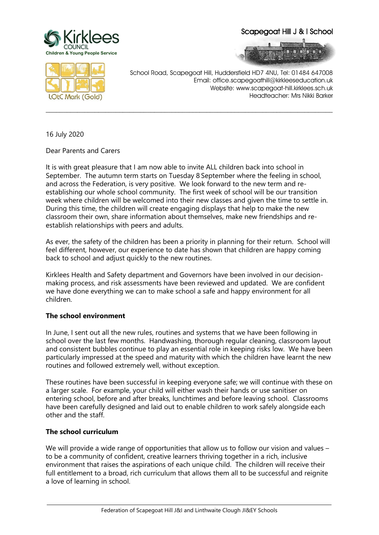

Scapegoat Hill J & I School





School Road, Scapegoat Hill, Huddersfield HD7 4NU, Tel: 01484 647008 Email: office.scapegoathill@kirkleeseducation.uk Website: www.scapegoat-hill.kirklees.sch.uk Headteacher: Mrs Nikki Barker

16 July 2020

Dear Parents and Carers

It is with great pleasure that I am now able to invite ALL children back into school in September. The autumn term starts on Tuesday 8 September where the feeling in school, and across the Federation, is very positive. We look forward to the new term and reestablishing our whole school community. The first week of school will be our transition week where children will be welcomed into their new classes and given the time to settle in. During this time, the children will create engaging displays that help to make the new classroom their own, share information about themselves, make new friendships and reestablish relationships with peers and adults.

**\_\_\_\_\_\_\_\_\_\_\_\_\_\_\_\_\_\_\_\_\_\_\_\_\_\_\_\_\_\_\_\_\_\_\_\_\_\_\_\_\_\_\_\_\_\_\_\_\_\_\_\_\_\_\_\_\_\_\_\_\_\_\_\_\_\_\_\_\_\_\_\_\_\_\_\_\_\_\_\_\_\_**

As ever, the safety of the children has been a priority in planning for their return. School will feel different, however, our experience to date has shown that children are happy coming back to school and adjust quickly to the new routines.

Kirklees Health and Safety department and Governors have been involved in our decisionmaking process, and risk assessments have been reviewed and updated. We are confident we have done everything we can to make school a safe and happy environment for all children.

#### **The school environment**

In June, I sent out all the new rules, routines and systems that we have been following in school over the last few months. Handwashing, thorough regular cleaning, classroom layout and consistent bubbles continue to play an essential role in keeping risks low. We have been particularly impressed at the speed and maturity with which the children have learnt the new routines and followed extremely well, without exception.

These routines have been successful in keeping everyone safe; we will continue with these on a larger scale. For example, your child will either wash their hands or use sanitiser on entering school, before and after breaks, lunchtimes and before leaving school. Classrooms have been carefully designed and laid out to enable children to work safely alongside each other and the staff.

#### **The school curriculum**

We will provide a wide range of opportunities that allow us to follow our vision and values – to be a community of confident, creative learners thriving together in a rich, inclusive environment that raises the aspirations of each unique child. The children will receive their full entitlement to a broad, rich curriculum that allows them all to be successful and reignite a love of learning in school.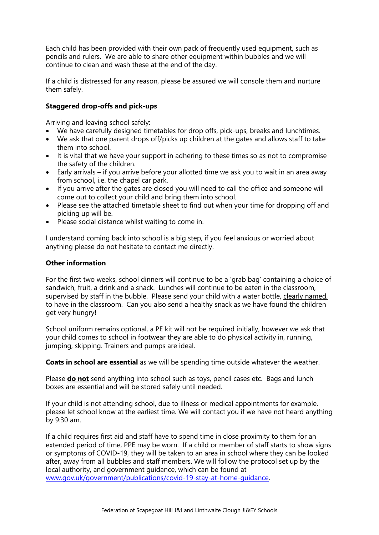Each child has been provided with their own pack of frequently used equipment, such as pencils and rulers. We are able to share other equipment within bubbles and we will continue to clean and wash these at the end of the day.

If a child is distressed for any reason, please be assured we will console them and nurture them safely.

## **Staggered drop-offs and pick-ups**

Arriving and leaving school safely:

- We have carefully designed timetables for drop offs, pick-ups, breaks and lunchtimes.
- We ask that one parent drops off/picks up children at the gates and allows staff to take them into school.
- It is vital that we have your support in adhering to these times so as not to compromise the safety of the children.
- Early arrivals if you arrive before your allotted time we ask you to wait in an area away from school, i.e. the chapel car park.
- If you arrive after the gates are closed you will need to call the office and someone will come out to collect your child and bring them into school.
- Please see the attached timetable sheet to find out when your time for dropping off and picking up will be.
- Please social distance whilst waiting to come in.

I understand coming back into school is a big step, if you feel anxious or worried about anything please do not hesitate to contact me directly.

#### **Other information**

For the first two weeks, school dinners will continue to be a 'grab bag' containing a choice of sandwich, fruit, a drink and a snack. Lunches will continue to be eaten in the classroom, supervised by staff in the bubble. Please send your child with a water bottle, clearly named, to have in the classroom. Can you also send a healthy snack as we have found the children get very hungry!

School uniform remains optional, a PE kit will not be required initially, however we ask that your child comes to school in footwear they are able to do physical activity in, running, jumping, skipping. Trainers and pumps are ideal.

**Coats in school are essential** as we will be spending time outside whatever the weather.

Please **do not** send anything into school such as toys, pencil cases etc. Bags and lunch boxes are essential and will be stored safely until needed.

If your child is not attending school, due to illness or medical appointments for example, please let school know at the earliest time. We will contact you if we have not heard anything by 9:30 am.

If a child requires first aid and staff have to spend time in close proximity to them for an extended period of time, PPE may be worn. If a child or member of staff starts to show signs or symptoms of COVID-19, they will be taken to an area in school where they can be looked after, away from all bubbles and staff members. We will follow the protocol set up by the local authority, and government guidance, which can be found at [www.gov.uk/government/publications/covid-19-stay-at-home-guidance.](http://www.gov.uk/government/publications/covid-19-stay-at-home-guidance)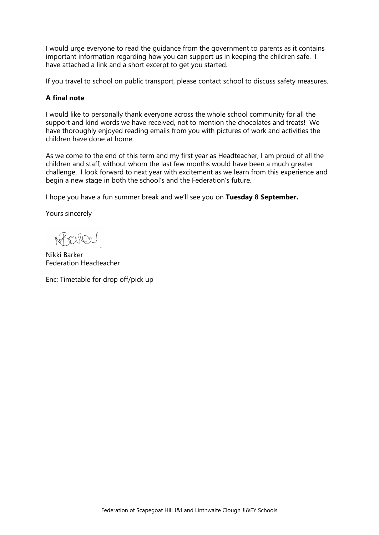I would urge everyone to read the guidance from the government to parents as it contains important information regarding how you can support us in keeping the children safe. I have attached a link and a short excerpt to get you started.

If you travel to school on public transport, please contact school to discuss safety measures.

### **A final note**

I would like to personally thank everyone across the whole school community for all the support and kind words we have received, not to mention the chocolates and treats! We have thoroughly enjoyed reading emails from you with pictures of work and activities the children have done at home.

As we come to the end of this term and my first year as Headteacher, I am proud of all the children and staff, without whom the last few months would have been a much greater challenge. I look forward to next year with excitement as we learn from this experience and begin a new stage in both the school's and the Federation's future.

I hope you have a fun summer break and we'll see you on **Tuesday 8 September.**

Yours sincerely

PNOL

Nikki Barker Federation Headteacher

Enc: Timetable for drop off/pick up